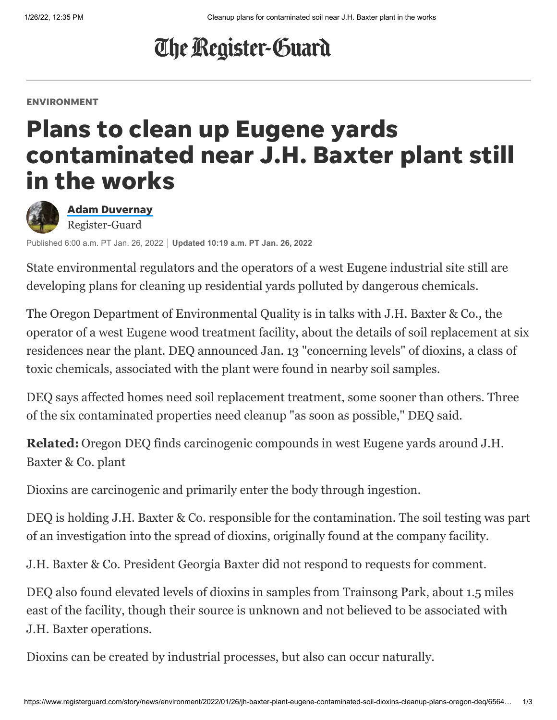# The Register-Guard

#### ENVIRONMENT

## Plans to clean up Eugene yards contaminated near J.H. Baxter plant still in the works



Adam [Duvernay](https://www.registerguard.com/staff/3392076001/adam-duvernay/) Register-Guard

Published 6:00 a.m. PT Jan. 26, 2022 **Updated 10:19 a.m. PT Jan. 26, 2022**

State environmental regulators and the operators of a west Eugene industrial site still are developing plans for cleaning up residential yards polluted by dangerous chemicals.

The Oregon Department of Environmental Quality is in talks with J.H. Baxter & Co., the operator of a west Eugene wood treatment facility, about the details of soil replacement at six residences near the plant. DEQ announced Jan. 13 "concerning levels" of dioxins, a class of toxic chemicals, associated with the plant were found in nearby soil samples.

DEQ says affected homes need soil replacement treatment, some sooner than others. Three of the six contaminated properties need cleanup "as soon as possible," DEQ said.

**Related:** [Oregon DEQ finds carcinogenic compounds in west Eugene yards around J.H.](https://www.registerguard.com/story/news/2022/01/13/carcinogenic-compounds-dioxins-jh-baxter-plant-west-eugene-homes-oregon-deq-cleanup/6510625001/) Baxter & Co. plant

Dioxins are carcinogenic and primarily enter the body through ingestion.

DEQ is holding J.H. Baxter & Co. responsible for the contamination. The soil testing was part of an investigation into the spread of dioxins, originally found at the company facility.

J.H. Baxter & Co. President Georgia Baxter did not respond to requests for comment.

DEQ also found elevated levels of dioxins in samples from Trainsong Park, about 1.5 miles east of the facility, though their source is unknown and not believed to be associated with J.H. Baxter operations.

Dioxins can be created by industrial processes, but also can occur naturally.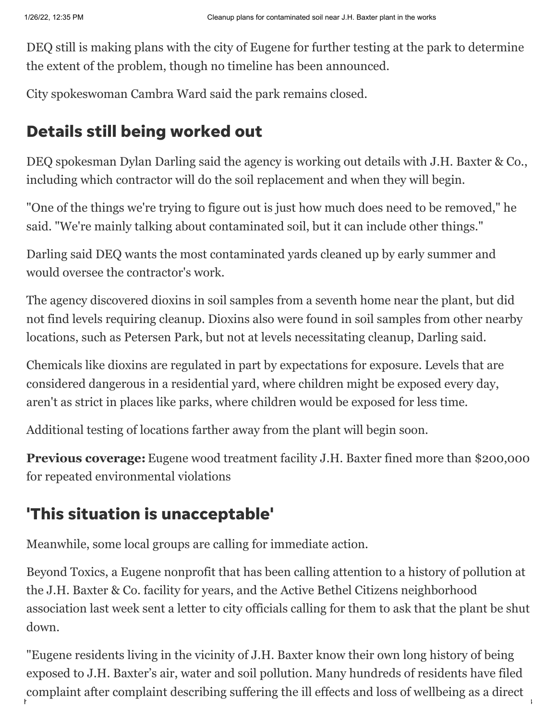DEQ still is making plans with the city of Eugene for further testing at the park to determine the extent of the problem, though no timeline has been announced.

City spokeswoman Cambra Ward said the park remains closed.

## Details still being worked out

DEQ spokesman Dylan Darling said the agency is working out details with J.H. Baxter & Co., including which contractor will do the soil replacement and when they will begin.

"One of the things we're trying to figure out is just how much does need to be removed," he said. "We're mainly talking about contaminated soil, but it can include other things."

Darling said DEQ wants the most contaminated yards cleaned up by early summer and would oversee the contractor's work.

The agency discovered dioxins in soil samples from a seventh home near the plant, but did not find levels requiring cleanup. Dioxins also were found in soil samples from other nearby locations, such as Petersen Park, but not at levels necessitating cleanup, Darling said.

Chemicals like dioxins are regulated in part by expectations for exposure. Levels that are considered dangerous in a residential yard, where children might be exposed every day, aren't as strict in places like parks, where children would be exposed for less time.

Additional testing of locations farther away from the plant will begin soon.

**Previous coverage:** [Eugene wood treatment facility J.H. Baxter fined more than \\$200,000](https://www.registerguard.com/story/news/2021/03/04/eugene-wood-treatment-facility-jh-baxter-fined-more-than-200-000-environmental-violations/6911952002/) for repeated environmental violations

## 'This situation is unacceptable'

Meanwhile, some local groups are calling for immediate action.

Beyond Toxics, a Eugene nonprofit that has been calling attention to a history of pollution at the J.H. Baxter & Co. facility for years, and the Active Bethel Citizens neighborhood association last week sent a letter to city officials calling for them to ask that the plant be shut down.

https://www.registerguard.com/story/news/environment/2022/01/26/jh-baxter-plant-eugene-contaminated-soil-dioxins-cleanup-plant-eugene-contaminated-soil-dioxins-cleanup-plans-oregon-deq/6544… 2/3/3/3/4/3/3/4/3/4/3/3/4/3/3/ "Eugene residents living in the vicinity of J.H. Baxter know their own long history of being exposed to J.H. Baxter's air, water and soil pollution. Many hundreds of residents have filed complaint after complaint describing suffering the ill effects and loss of wellbeing as a direct